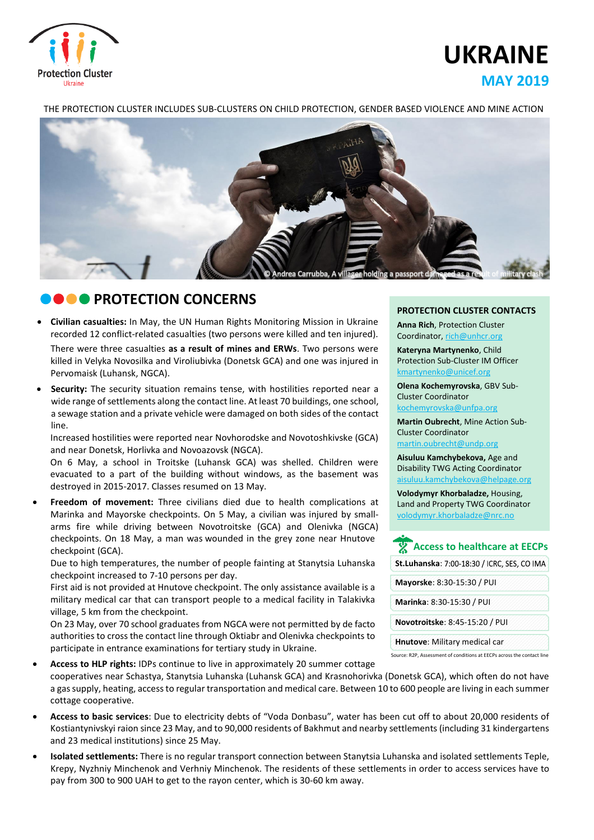

# **UKRAINE MAY 2019**

#### THE PROTECTION CLUSTER INCLUDES SUB-CLUSTERS ON CHILD PROTECTION, GENDER BASED VIOLENCE AND MINE ACTION



### **CONCERNS**

 **Civilian casualties:** In May, the UN Human Rights Monitoring Mission in Ukraine recorded 12 conflict-related casualties (two persons were killed and ten injured).

There were three casualties **as a result of mines and ERWs**. Two persons were killed in Velyka Novosilka and Viroliubivka (Donetsk GCA) and one was injured in Pervomaisk (Luhansk, NGCA).

 **Security:** The security situation remains tense, with hostilities reported near a wide range of settlements along the contact line. At least 70 buildings, one school, a sewage station and a private vehicle were damaged on both sides of the contact line.

Increased hostilities were reported near Novhorodske and Novotoshkivske (GCA) and near Donetsk, Horlivka and Novoazovsk (NGCA).

On 6 May, a school in Troitske (Luhansk GCA) was shelled. Children were evacuated to a part of the building without windows, as the basement was destroyed in 2015-2017. Classes resumed on 13 May.

 **Freedom of movement:** Three civilians died due to health complications at Marinka and Mayorske checkpoints. On 5 May, a civilian was injured by smallarms fire while driving between Novotroitske (GCA) and Olenivka (NGCA) checkpoints. On 18 May, a man was wounded in the grey zone near Hnutove checkpoint (GCA).

Due to high temperatures, the number of people fainting at Stanytsia Luhanska checkpoint increased to 7-10 persons per day.

First aid is not provided at Hnutove checkpoint. The only assistance available is a military medical car that can transport people to a medical facility in Talakivka village, 5 km from the checkpoint.

On 23 May, over 70 school graduates from NGCA were not permitted by de facto authorities to cross the contact line through Oktiabr and Olenivka checkpoints to participate in entrance examinations for tertiary study in Ukraine.

- **Access to HLP rights:** IDPs continue to live in approximately 20 summer cottage cooperatives near Schastya, Stanytsia Luhanska (Luhansk GCA) and Krasnohorivka (Donetsk GCA), which often do not have a gassupply, heating, accessto regular transportation and medical care. Between 10 to 600 people are living in each summer cottage cooperative.
- **Access to basic services**: Due to electricity debts of "Voda Donbasu", water has been cut off to about 20,000 residents of Kostiantynivskyi raion since 23 May, and to 90,000 residents of Bakhmut and nearby settlements(including 31 kindergartens and 23 medical institutions) since 25 May.
- **Isolated settlements:** There is no regular transport connection between Stanytsia Luhanska and isolated settlements Teple, Krepy, Nyzhniy Minchenok and Verhniy Minchenok. The residents of these settlements in order to access services have to pay from 300 to 900 UAH to get to the rayon center, which is 30-60 km away.

#### **PROTECTION CLUSTER CONTACTS**

**Anna Rich**, Protection Cluster Coordinator, [rich@unhcr.org](mailto:rich@unhcr.org)

**Kateryna Martynenko**, Child Protection Sub-Cluster IM Officer kmartynenko@unicef.org

**Olena Kochemyrovska**, GBV Sub-Cluster Coordinator [kochemyrovska@unfpa.org](mailto:kristesashvili@unfpa.org)

**Martin Oubrecht**, Mine Action Sub-Cluster Coordinator [martin.oubrecht@undp.org](mailto:martin.oubrecht@undp.org)

**Aisuluu Kamchybekova,** Age and Disability TWG Acting Coordinator aisuluu.kamchybekova@helpage.org

**Volodymyr Khorbaladze,** Housing, Land and Property TWG Coordinator [volodymyr.khorbaladze@nrc.no](mailto:volodymyr.khorbaladze@nrc.no)

## **Access to healthcare at EECPs**

**St.Luhanska**: **Mayorske**: 8:30-15:30 / PUI

**Marinka**: 8:30-15:30 / PUI **Novotroitske**: 8:45-15:20 / PUI

**Hnutove**: Military medical car

Source: R2P, Assessment of conditions at EECPs across the contact line